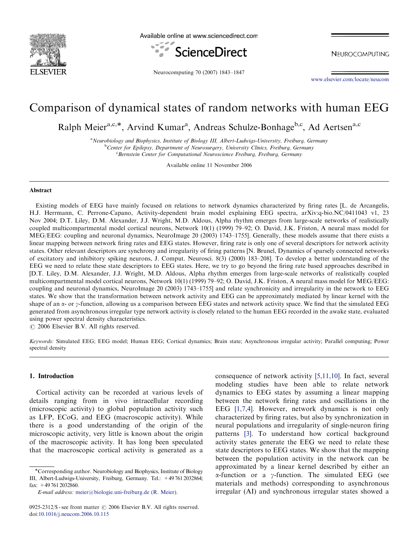

Available online at www.sciencedirect.com



NEUROCOMPUTING

Neurocomputing 70 (2007) 1843–1847

[www.elsevier.com/locate/neucom](http://www.elsevier.com/locate/neucom)

# Comparison of dynamical states of random networks with human EEG

Ralph Meier<sup>a,c,\*</sup>, Arvind Kumar<sup>a</sup>, Andreas Schulze-Bonhage<sup>b,c</sup>, Ad Aertsen<sup>a,c</sup>

<sup>a</sup> Neurobiology and Biophysics, Institute of Biology III, Albert-Ludwigs-University, Freiburg, Germany<br><sup>b</sup>Center for Epilepsy, Department of Neurosyngery, University Clinics, Freiburg, Germany <sup>b</sup>Center for Epilepsy, Department of Neurosurgery, University Clinics, Freiburg, Germany Bernstein Center for Computational Neuroscience Freiburg, Freiburg, Germany

Available online 11 November 2006

## Abstract

Existing models of EEG have mainly focused on relations to network dynamics characterized by firing rates [L. de Arcangelis, H.J. Herrmann, C. Perrone-Capano, Activity-dependent brain model explaining EEG spectra, arXiv:q-bio.NC/0411043 v1, 23 Nov 2004; D.T. Liley, D.M. Alexander, J.J. Wright, M.D. Aldous, Alpha rhythm emerges from large-scale networks of realistically coupled multicompartmental model cortical neurons, Network 10(1) (1999) 79–92; O. David, J.K. Friston, A neural mass model for MEG/EEG: coupling and neuronal dynamics, NeuroImage 20 (2003) 1743–1755]. Generally, these models assume that there exists a linear mapping between network firing rates and EEG states. However, firing rate is only one of several descriptors for network activity states. Other relevant descriptors are synchrony and irregularity of firing patterns [N. Brunel, Dynamics of sparsely connected networks of excitatory and inhibitory spiking neurons, J. Comput. Neurosci. 8(3) (2000) 183–208]. To develop a better understanding of the EEG we need to relate these state descriptors to EEG states. Here, we try to go beyond the firing rate based approaches described in [D.T. Liley, D.M. Alexander, J.J. Wright, M.D. Aldous, Alpha rhythm emerges from large-scale networks of realistically coupled multicompartmental model cortical neurons, Network 10(1) (1999) 79–92; O. David, J.K. Friston, A neural mass model for MEG/EEG: coupling and neuronal dynamics, NeuroImage 20 (2003) 1743–1755] and relate synchronicity and irregularity in the network to EEG states. We show that the transformation between network activity and EEG can be approximately mediated by linear kernel with the shape of an  $\alpha$ - or  $\gamma$ -function, allowing us a comparison between EEG states and network activity space. We find that the simulated EEG generated from asynchronous irregular type network activity is closely related to the human EEG recorded in the awake state, evaluated using power spectral density characteristics.

 $\odot$  2006 Elsevier B.V. All rights reserved.

Keywords: Simulated EEG; EEG model; Human EEG; Cortical dynamics; Brain state; Asynchronous irregular activity; Parallel computing; Power spectral density

## 1. Introduction

Cortical activity can be recorded at various levels of details ranging from in vivo intracellular recording (microscopic activity) to global population activity such as LFP, ECoG, and EEG (macroscopic activity). While there is a good understanding of the origin of the microscopic activity, very little is known about the origin of the macroscopic activity. It has long been speculated that the macroscopic cortical activity is generated as a

consequence of network activity [\[5,11,10\]](#page-3-0). In fact, several modeling studies have been able to relate network dynamics to EEG states by assuming a linear mapping between the network firing rates and oscillations in the EEG [\[1,7,4\]](#page-3-0). However, network dynamics is not only characterized by firing rates, but also by synchronization in neural populations and irregularity of single-neuron firing patterns [\[3\].](#page-3-0) To understand how cortical background activity states generate the EEG we need to relate these state descriptors to EEG states. We show that the mapping between the population activity in the network can be approximated by a linear kernel described by either an  $\alpha$ -function or a  $\gamma$ -function. The simulated EEG (see materials and methods) corresponding to asynchronous irregular (AI) and synchronous irregular states showed a

<sup>!</sup>Corresponding author. Neurobiology and Biophysics, Institute of Biology III, Albert-Ludwigs-University, Freiburg, Germany. Tel.: +49 761 2032864; fax: +49 761 2032860.

E-mail address: [meier@biologie.uni-freiburg.de](mailto:meier@biologie.uni-freiburg.de) (R. Meier).

<sup>0925-2312/\$ -</sup> see front matter  $\odot$  2006 Elsevier B.V. All rights reserved. doi:[10.1016/j.neucom.2006.10.115](http://dx.doi.org/10.1016/j.neucom.2006.10.115)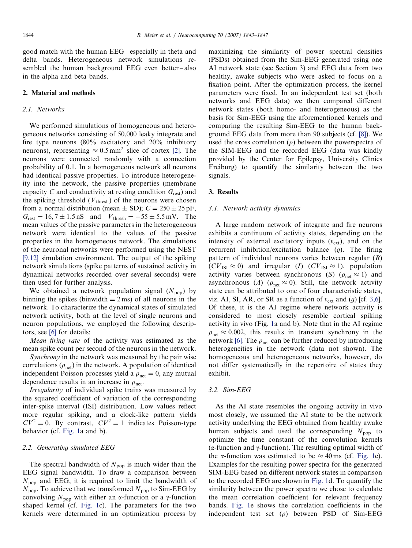good match with the human EEG – especially in theta and delta bands. Heterogeneous network simulations resembled the human background EEG even better-also in the alpha and beta bands.

### 2. Material and methods

## 2.1. Networks

We performed simulations of homogeneous and heterogeneous networks consisting of 50,000 leaky integrate and fire type neurons (80% excitatory and 20% inhibitory neurons), representing  $\approx 0.5$  mm<sup>2</sup> slice of cortex [\[2\]](#page-3-0). The neurons were connected randomly with a connection probability of 0.1. In a homogeneous network all neurons had identical passive properties. To introduce heterogeneity into the network, the passive properties (membrane capacity C and conductivity at resting condition  $G_{\text{rest}}$ ) and the spiking threshold  $(V<sub>thresh</sub>)$  of the neurons were chosen from a normal distribution (mean  $\pm$  SD);  $C = 250 \pm 25$  pF,  $G_{\text{rest}} = 16, 7 \pm 1.5 \,\text{nS}$  and  $V_{\text{thresh}} = -55 \pm 5.5 \,\text{mV}$ . The mean values of the passive parameters in the heterogeneous network were identical to the values of the passive properties in the homogeneous network. The simulations of the neuronal networks were performed using the NEST [\[9,12\]](#page-3-0) simulation environment. The output of the spiking network simulations (spike patterns of sustained activity in dynamical networks recorded over several seconds) were then used for further analysis.

We obtained a network population signal  $(N_{\text{pop}})$  by binning the spikes (binwidth  $= 2$  ms) of all neurons in the network. To characterize the dynamical states of simulated network activity, both at the level of single neurons and neuron populations, we employed the following descriptors, see [\[6\]](#page-3-0) for details:

Mean firing rate of the activity was estimated as the mean spike count per second of the neurons in the network.

Synchrony in the network was measured by the pair wise correlations  $(\rho_{net})$  in the network. A population of identical independent Poisson processes yield a  $\rho_{net} = 0$ , any mutual dependence results in an increase in  $\rho_{\text{net}}$ .

Irregularity of individual spike trains was measured by the squared coefficient of variation of the corresponding inter-spike interval (ISI) distribution. Low values reflect more regular spiking, and a clock-like pattern yields  $CV^2 = 0$ . By contrast,  $CV^2 = 1$  indicates Poisson-type behavior (cf. [Fig.](#page-2-0) 1a and b).

## 2.2. Generating simulated EEG

The spectral bandwidth of  $N_{\text{pop}}$  is much wider than the EEG signal bandwidth. To draw a comparison between  $N_{\text{pop}}$  and EEG, it is required to limit the bandwidth of  $N_{\text{pop}}$ . To achieve that we transformed  $N_{\text{pop}}$  to Sim-EEG by convolving  $N_{\text{pop}}$  with either an  $\alpha$ -function or a  $\gamma$ -function shaped kernel (cf. [Fig.](#page-2-0) 1c). The parameters for the two kernels were determined in an optimization process by

maximizing the similarity of power spectral densities (PSDs) obtained from the Sim-EEG generated using one AI network state (see Section 3) and EEG data from two healthy, awake subjects who were asked to focus on a fixation point. After the optimization process, the kernel parameters were fixed. In an independent test set (both networks and EEG data) we then compared different network states (both homo- and heterogeneous) as the basis for Sim-EEG using the aforementioned kernels and comparing the resulting Sim-EEG to the human background EEG data from more than 90 subjects (cf. [\[8\]\)](#page-3-0). We used the cross correlation  $(\rho)$  between the powerspectra of the SIM-EEG and the recorded EEG (data was kindly provided by the Center for Epilepsy, University Clinics Freiburg) to quantify the similarity between the two signals.

#### 3. Results

#### 3.1. Network activity dynamics

A large random network of integrate and fire neurons exhibits a continuum of activity states, depending on the intensity of external excitatory inputs  $(v_{ext})$ , and on the recurrent inhibition/excitation balance  $(q)$ . The firing pattern of individual neurons varies between regular  $(R)$  $(CV_{\text{ISI}} \approx 0)$  and irregular  $(I)$   $(CV_{\text{ISI}} \approx 1)$ , population activity varies between synchronous (S) ( $\rho_{net} \approx 1$ ) and asynchronous (A) ( $\rho_{\text{net}} \approx 0$ ). Still, the network activity state can be attributed to one of four characteristic states, viz. AI, SI, AR, or SR as a function of  $v_{ext}$  and  $(g)$  [cf. [3,6](#page-3-0)]. Of these, it is the AI regime where network activity is considered to most closely resemble cortical spiking activity in vivo (Fig. [1a](#page-2-0) and b). Note that in the AI regime  $\rho_{\text{net}} \approx 0.002$ , this results in transient synchrony in the network [\[6\].](#page-3-0) The  $\rho_{\text{net}}$  can be further reduced by introducing heterogeneities in the network (data not shown). The homogeneous and heterogeneous networks, however, do not differ systematically in the repertoire of states they exhibit.

## 3.2. Sim-EEG

As the AI state resembles the ongoing activity in vivo most closely, we assumed the AI state to be the network activity underlying the EEG obtained from healthy awake human subjects and used the corresponding  $N_{\text{pop}}$  to optimize the time constant of the convolution kernels ( $\alpha$ -function and  $\gamma$ -function). The resulting optimal width of the  $\alpha$ -function was estimated to be  $\approx 40 \,\text{ms}$  (cf. [Fig.](#page-2-0) 1c). Examples for the resulting power spectra for the generated SIM-EEG based on different network states in comparison to the recorded EEG are shown in [Fig.](#page-2-0) 1d. To quantify the similarity between the power spectra we chose to calculate the mean correlation coefficient for relevant frequency bands. [Fig.](#page-2-0) 1e shows the correlation coefficients in the independent test set  $(\rho)$  between PSD of Sim-EEG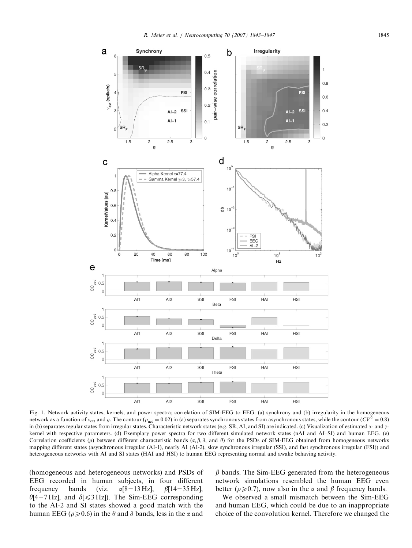<span id="page-2-0"></span>

Fig. 1. Network activity states, kernels, and power spectra; correlation of SIM-EEG to EEG: (a) synchrony and (b) irregularity in the homogeneous network as a function of  $v_{ext}$  and g. The contour  $(\rho_{net} = 0.02)$  in (a) separates synchronous states from asynchronous states, while the contour  $(CV^2 = 0.8)$ in (b) separates regular states from irregular states. Characteristic network states (e.g. SR, AI, and SI) are indicated. (c) Visualization of estimated  $\alpha$ - and  $\gamma$ kernel with respective parameters. (d) Exemplary power spectra for two different simulated network states (nAI and AI–SI) and human EEG. (e) Correlation coefficients ( $\rho$ ) between different characteristic bands ( $\alpha, \beta, \delta$ , and  $\theta$ ) for the PSDs of SIM-EEG obtained from homogeneous networks mapping different states (asynchronous irregular (AI-1), nearly AI (AI-2), slow synchronous irregular (SSI), and fast synchronous irregular (FSI)) and heterogeneous networks with AI and SI states (HAI and HSI) to human EEG representing normal and awake behaving activity.

(homogeneous and heterogeneous networks) and PSDs of EEG recorded in human subjects, in four different frequency bands (viz.  $\alpha$ [8-13 Hz],  $\beta$ [14-35 Hz],  $\theta$ [4-7 Hz], and  $\delta$ [  $\leq$  3 Hz]). The Sim-EEG corresponding to the AI-2 and SI states showed a good match with the human EEG ( $\rho \ge 0.6$ ) in the  $\theta$  and  $\delta$  bands, less in the  $\alpha$  and  $\beta$  bands. The Sim-EEG generated from the heterogeneous network simulations resembled the human EEG even better ( $\rho \ge 0.7$ ), now also in the  $\alpha$  and  $\beta$  frequency bands.

We observed a small mismatch between the Sim-EEG and human EEG, which could be due to an inappropriate choice of the convolution kernel. Therefore we changed the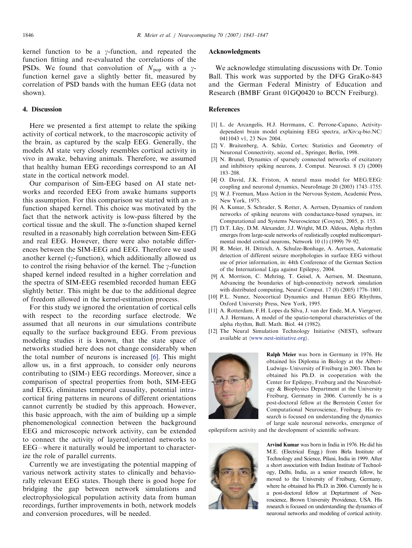<span id="page-3-0"></span>kernel function to be a  $\gamma$ -function, and repeated the function fitting and re-evaluated the correlations of the PSDs. We found that convolution of  $N_{\text{pop}}$  with a  $\gamma$ function kernel gave a slightly better fit, measured by correlation of PSD bands with the human EEG (data not shown).

## 4. Discussion

Here we presented a first attempt to relate the spiking activity of cortical network, to the macroscopic activity of the brain, as captured by the scalp EEG. Generally, the models AI state very closely resembles cortical activity in vivo in awake, behaving animals. Therefore, we assumed that healthy human EEG recordings correspond to an AI state in the cortical network model.

Our comparison of Sim-EEG based on AI state networks and recorded EEG from awake humans supports this assumption. For this comparison we started with an  $\alpha$ function shaped kernel. This choice was motivated by the fact that the network activity is low-pass filtered by the cortical tissue and the skull. The  $\alpha$ -function shaped kernel resulted in a reasonably high correlation between Sim-EEG and real EEG. However, there were also notable differences between the SIM-EEG and EEG. Therefore we used another kernel ( $y$ -function), which additionally allowed us to control the rising behavior of the kernel. The  $\gamma$ -function shaped kernel indeed resulted in a higher correlation and the spectra of SIM-EEG resembled recorded human EEG slightly better. This might be due to the additional degree of freedom allowed in the kernel-estimation process.

For this study we ignored the orientation of cortical cells with respect to the recording surface electrode. We assumed that all neurons in our simulations contribute equally to the surface background EEG. From previous modeling studies it is known, that the state space of networks studied here does not change considerably when the total number of neurons is increased [6]. This might allow us, in a first approach, to consider only neurons contributing to (SIM-) EEG recordings. Moreover, since a comparison of spectral properties from both, SIM-EEG and EEG, eliminates temporal causality, potential intracortical firing patterns in neurons of different orientations cannot currently be studied by this approach. However, this basic approach, with the aim of building up a simple phenomenological connection between the background EEG and microscopic network activity, can be extended to connect the activity of layered/oriented networks to EEG – where it naturally would be important to characterize the role of parallel currents.

Currently we are investigating the potential mapping of various network activity states to clinically and behaviorally relevant EEG states. Though there is good hope for bridging the gap between network simulations and electrophysiological population activity data from human recordings, further improvements in both, network models and conversion procedures, will be needed.

## Acknowledgments

We acknowledge stimulating discussions with Dr. Tonio Ball. This work was supported by the DFG GraKo-843 and the German Federal Ministry of Education and Research (BMBF Grant 01GQ0420 to BCCN Freiburg).

## References

- [1] L. de Arcangelis, H.J. Herrmann, C. Perrone-Capano, Activitydependent brain model explaining EEG spectra, arXiv:q-bio.NC/ 0411043 v1, 23 Nov 2004.
- [2] V. Braitenberg, A. Schüz, Cortex: Statistics and Geometry of Neuronal Connectivity, second ed., Springer, Berlin, 1998.
- [3] N. Brunel, Dynamics of sparsely connected networks of excitatory and inhibitory spiking neurons, J. Comput. Neurosci. 8 (3) (2000) 183–208.
- [4] O. David, J.K. Friston, A neural mass model for MEG/EEG: coupling and neuronal dynamics, NeuroImage 20 (2003) 1743–1755.
- [5] W.J. Freeman, Mass Action in the Nervous System, Academic Press, New York, 1975.
- [6] A. Kumar, S. Schrader, S. Rotter, A. Aertsen, Dynamics of random networks of spiking neurons with conductance-based synapses, in: Computational and Systems Neuroscience (Cosyne), 2005, p. 153.
- [7] D.T. Liley, D.M. Alexander, J.J. Wright, M.D. Aldous, Alpha rhythm emerges from large-scale networks of realistically coupled multicompartmental model cortical neurons, Network 10 (1) (1999) 79–92.
- [8] R. Meier, H. Dittrich, A. Schulze-Bonhage, A. Aertsen, Automatic detection of different seizure morphologies in surface EEG without use of prior information, in: 44th Conference of the German Section of the International Liga against Epilepsy, 2004.
- [9] A. Morrison, C. Mehring, T. Geisel, A. Aertsen, M. Diesmann, Advancing the boundaries of high-connectivity network simulation with distributed computing, Neural Comput. 17 (8) (2005) 1776–1801.
- [10] P.L. Nunez, Neocortical Dynamics and Human EEG Rhythms, Oxford University Press, New York, 1995.
- [11] A. Rotterdam, F.H. Lopes da Silva, J. van der Ende, M.A. Viergever, A.J. Hermans, A model of the spatio-temporal characteristics of the alpha rhythm, Bull. Math. Biol. 44 (1982).
- [12] The Neural Simulation Technology Initiative (NEST), software available at  $\langle www.nest-initative.org \rangle$ .



Ralph Meier was born in Germany in 1976. He obtained his Diploma in Biology at the Albert-Ludwigs- University of Freiburg in 2003. Then he obtained his Ph.D. in cooperation with the Center for Epilepsy, Freiburg and the Neurobiology & Biophysics Department at the University Freiburg, Germany in 2006. Currently he is a post-doctoral fellow at the Bernstein Center for Computational Neuroscience, Freiburg. His research is focused on understanding the dynamics of large scale neuronal networks, emergence of

epileptiform activity and the development of scientific software.



Arvind Kumar was born in India in 1976. He did his M.E. (Electrical Engg.) from Birla Institute of Technology and Science, Pilani, India in 1999. After a short association with Indian Institute of Technology, Delhi, India, as a senior research fellow, he moved to the University of Freiburg, Germany, where he obtained his Ph.D. in 2006. Currently he is a post-doctoral fellow at Deptartment of Neuroscience, Brown University Providence, USA. His research is focused on understanding the dynamics of neuronal networks and modeling of cortical activity.